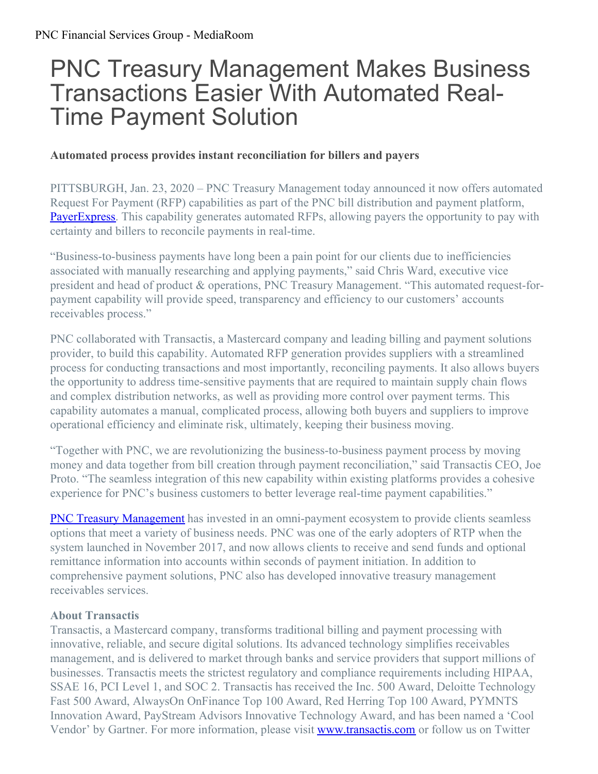# PNC Treasury Management Makes Business Transactions Easier With Automated Real-Time Payment Solution

## **Automated process provides instant reconciliation for billers and payers**

PITTSBURGH, Jan. 23, 2020 – PNC Treasury Management today announced it now offers automated Request For Payment (RFP) capabilities as part of the PNC bill distribution and payment platform, [PayerExpress](https://www.pnc.com/en/corporate-and-institutional/treasury-management/receivables/electronic-billing-and-collections-services.html). This capability generates automated RFPs, allowing payers the opportunity to pay with certainty and billers to reconcile payments in real-time.

"Business-to-business payments have long been a pain point for our clients due to inefficiencies associated with manually researching and applying payments," said Chris Ward, executive vice president and head of product & operations, PNC Treasury Management. "This automated request-forpayment capability will provide speed, transparency and efficiency to our customers' accounts receivables process."

PNC collaborated with Transactis, a Mastercard company and leading billing and payment solutions provider, to build this capability. Automated RFP generation provides suppliers with a streamlined process for conducting transactions and most importantly, reconciling payments. It also allows buyers the opportunity to address time-sensitive payments that are required to maintain supply chain flows and complex distribution networks, as well as providing more control over payment terms. This capability automates a manual, complicated process, allowing both buyers and suppliers to improve operational efficiency and eliminate risk, ultimately, keeping their business moving.

"Together with PNC, we are revolutionizing the business-to-business payment process by moving money and data together from bill creation through payment reconciliation," said Transactis CEO, Joe Proto. "The seamless integration of this new capability within existing platforms provides a cohesive experience for PNC's business customers to better leverage real-time payment capabilities."

**PNC Treasury [Management](https://www.pnc.com/en/corporate-and-institutional/treasury-management/treasury-management-overview.html?lnksrc=topnav)** has invested in an omni-payment ecosystem to provide clients seamless options that meet a variety of business needs. PNC was one of the early adopters of RTP when the system launched in November 2017, and now allows clients to receive and send funds and optional remittance information into accounts within seconds of payment initiation. In addition to comprehensive payment solutions, PNC also has developed innovative treasury management receivables services.

#### **About Transactis**

Transactis, a Mastercard company, transforms traditional billing and payment processing with innovative, reliable, and secure digital solutions. Its advanced technology simplifies receivables management, and is delivered to market through banks and service providers that support millions of businesses. Transactis meets the strictest regulatory and compliance requirements including HIPAA, SSAE 16, PCI Level 1, and SOC 2. Transactis has received the Inc. 500 Award, Deloitte Technology Fast 500 Award, AlwaysOn OnFinance Top 100 Award, Red Herring Top 100 Award, PYMNTS Innovation Award, PayStream Advisors Innovative Technology Award, and has been named a 'Cool Vendor' by Gartner. For more information, please visit **[www.transactis.com](https://www.transactis.com/)** or follow us on Twitter